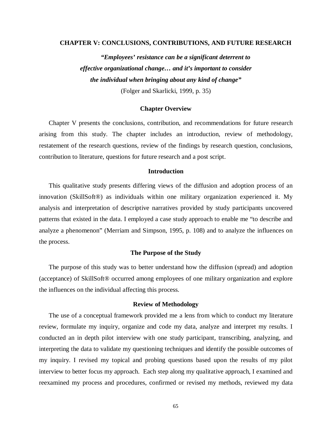### **CHAPTER V: CONCLUSIONS, CONTRIBUTIONS, AND FUTURE RESEARCH**

*"Employees' resistance can be a significant deterrent to effective organizational change… and it's important to consider the individual when bringing about any kind of change"*  (Folger and Skarlicki, 1999, p. 35)

### **Chapter Overview**

Chapter V presents the conclusions, contribution, and recommendations for future research arising from this study. The chapter includes an introduction, review of methodology, restatement of the research questions, review of the findings by research question, conclusions, contribution to literature, questions for future research and a post script.

### **Introduction**

This qualitative study presents differing views of the diffusion and adoption process of an innovation (SkillSoft®) as individuals within one military organization experienced it. My analysis and interpretation of descriptive narratives provided by study participants uncovered patterns that existed in the data. I employed a case study approach to enable me "to describe and analyze a phenomenon" (Merriam and Simpson, 1995, p. 108) and to analyze the influences on the process.

### **The Purpose of the Study**

The purpose of this study was to better understand how the diffusion (spread) and adoption (acceptance) of SkillSoft® occurred among employees of one military organization and explore the influences on the individual affecting this process.

### **Review of Methodology**

 The use of a conceptual framework provided me a lens from which to conduct my literature review, formulate my inquiry, organize and code my data, analyze and interpret my results. I conducted an in depth pilot interview with one study participant, transcribing, analyzing, and interpreting the data to validate my questioning techniques and identify the possible outcomes of my inquiry. I revised my topical and probing questions based upon the results of my pilot interview to better focus my approach. Each step along my qualitative approach, I examined and reexamined my process and procedures, confirmed or revised my methods, reviewed my data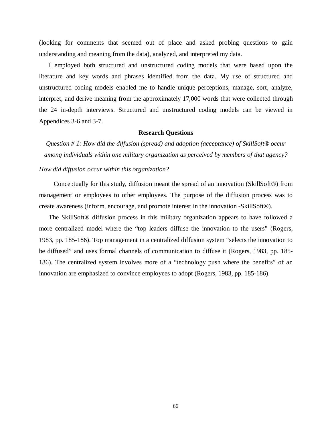(looking for comments that seemed out of place and asked probing questions to gain understanding and meaning from the data), analyzed, and interpreted my data.

 I employed both structured and unstructured coding models that were based upon the literature and key words and phrases identified from the data. My use of structured and unstructured coding models enabled me to handle unique perceptions, manage, sort, analyze, interpret, and derive meaning from the approximately 17,000 words that were collected through the 24 in-depth interviews. Structured and unstructured coding models can be viewed in Appendices 3-6 and 3-7.

### **Research Questions**

*Question # 1: How did the diffusion (spread) and adoption (acceptance) of SkillSoft® occur among individuals within one military organization as perceived by members of that agency?* 

### *How did diffusion occur within this organization?*

 Conceptually for this study, diffusion meant the spread of an innovation (SkillSoft®) from management or employees to other employees. The purpose of the diffusion process was to create awareness (inform, encourage, and promote interest in the innovation -SkillSoft®).

The SkillSoft® diffusion process in this military organization appears to have followed a more centralized model where the "top leaders diffuse the innovation to the users" (Rogers, 1983, pp. 185-186). Top management in a centralized diffusion system "selects the innovation to be diffused" and uses formal channels of communication to diffuse it (Rogers, 1983, pp. 185- 186). The centralized system involves more of a "technology push where the benefits" of an innovation are emphasized to convince employees to adopt (Rogers, 1983, pp. 185-186).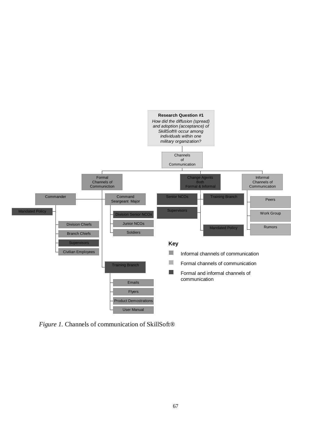

*Figure 1.* Channels of communication of SkillSoft®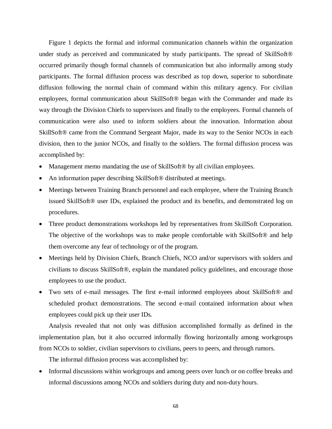Figure 1 depicts the formal and informal communication channels within the organization under study as perceived and communicated by study participants. The spread of SkillSoft<sup>®</sup> occurred primarily though formal channels of communication but also informally among study participants. The formal diffusion process was described as top down, superior to subordinate diffusion following the normal chain of command within this military agency. For civilian employees, formal communication about SkillSoft® began with the Commander and made its way through the Division Chiefs to supervisors and finally to the employees. Formal channels of communication were also used to inform soldiers about the innovation. Information about SkillSoft® came from the Command Sergeant Major, made its way to the Senior NCOs in each division, then to the junior NCOs, and finally to the soldiers. The formal diffusion process was accomplished by:

- Management memo mandating the use of SkillSoft® by all civilian employees.
- An information paper describing SkillSoft<sup>®</sup> distributed at meetings.
- Meetings between Training Branch personnel and each employee, where the Training Branch issued SkillSoft® user IDs, explained the product and its benefits, and demonstrated log on procedures.
- Three product demonstrations workshops led by representatives from SkillSoft Corporation. The objective of the workshops was to make people comfortable with SkillSoft® and help them overcome any fear of technology or of the program.
- Meetings held by Division Chiefs, Branch Chiefs, NCO and/or supervisors with solders and civilians to discuss SkillSoft®, explain the mandated policy guidelines, and encourage those employees to use the product.
- Two sets of e-mail messages. The first e-mail informed employees about SkillSoft® and scheduled product demonstrations. The second e-mail contained information about when employees could pick up their user IDs.

Analysis revealed that not only was diffusion accomplished formally as defined in the implementation plan, but it also occurred informally flowing horizontally among workgroups from NCOs to soldier, civilian supervisors to civilians, peers to peers, and through rumors.

The informal diffusion process was accomplished by:

• Informal discussions within workgroups and among peers over lunch or on coffee breaks and informal discussions among NCOs and soldiers during duty and non-duty hours.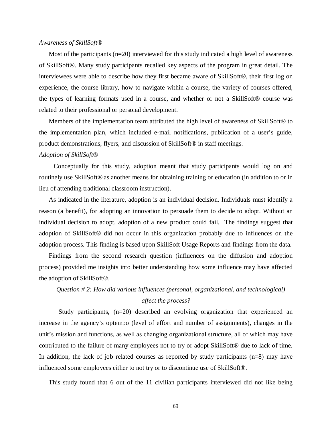### *Awareness of SkillSoft®*

Most of the participants  $(n=20)$  interviewed for this study indicated a high level of awareness of SkillSoft®. Many study participants recalled key aspects of the program in great detail. The interviewees were able to describe how they first became aware of SkillSoft®, their first log on experience, the course library, how to navigate within a course, the variety of courses offered, the types of learning formats used in a course, and whether or not a SkillSoft® course was related to their professional or personal development.

Members of the implementation team attributed the high level of awareness of SkillSoft® to the implementation plan, which included e-mail notifications, publication of a user's guide, product demonstrations, flyers, and discussion of SkillSoft® in staff meetings.

### *Adoption of SkillSoft®*

 Conceptually for this study, adoption meant that study participants would log on and routinely use SkillSoft® as another means for obtaining training or education (in addition to or in lieu of attending traditional classroom instruction).

As indicated in the literature, adoption is an individual decision. Individuals must identify a reason (a benefit), for adopting an innovation to persuade them to decide to adopt. Without an individual decision to adopt, adoption of a new product could fail. The findings suggest that adoption of SkillSoft® did not occur in this organization probably due to influences on the adoption process. This finding is based upon SkillSoft Usage Reports and findings from the data.

Findings from the second research question (influences on the diffusion and adoption process) provided me insights into better understanding how some influence may have affected the adoption of SkillSoft®.

# *Question # 2: How did various influences (personal, organizational, and technological) affect the process?*

Study participants, (n=20) described an evolving organization that experienced an increase in the agency's optempo (level of effort and number of assignments), changes in the unit's mission and functions, as well as changing organizational structure, all of which may have contributed to the failure of many employees not to try or adopt SkillSoft® due to lack of time. In addition, the lack of job related courses as reported by study participants (n=8) may have influenced some employees either to not try or to discontinue use of SkillSoft®.

This study found that 6 out of the 11 civilian participants interviewed did not like being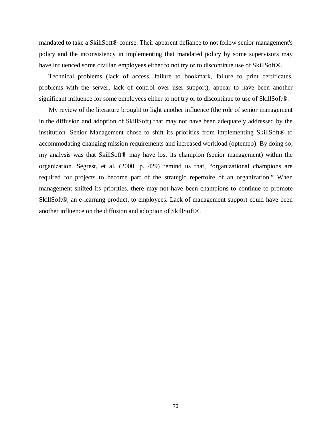mandated to take a SkillSoft® course. Their apparent defiance to not follow senior management's policy and the inconsistency in implementing that mandated policy by some supervisors may have influenced some civilian employees either to not try or to discontinue use of SkillSoft®.

 Technical problems (lack of access, failure to bookmark, failure to print certificates, problems with the server, lack of control over user support), appear to have been another significant influence for some employees either to not try or to discontinue to use of SkillSoft®.

 My review of the literature brought to light another influence (the role of senior management in the diffusion and adoption of SkillSoft) that may not have been adequately addressed by the institution. Senior Management chose to shift its priorities from implementing SkillSoft® to accommodating changing mission requirements and increased workload (optempo). By doing so, my analysis was that SkillSoft® may have lost its champion (senior management) within the organization. Segrest, et al. (2000, p. 429) remind us that, "organizational champions are required for projects to become part of the strategic repertoire of an organization." When management shifted its priorities, there may not have been champions to continue to promote SkillSoft®, an e-learning product, to employees. Lack of management support could have been another influence on the diffusion and adoption of SkillSoft®.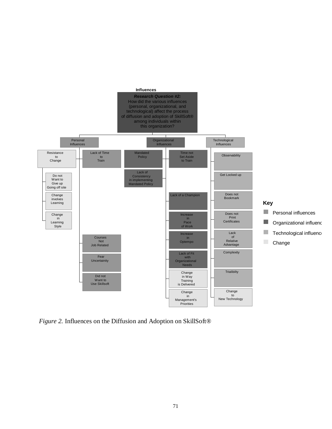

*Figure 2.* Influences on the Diffusion and Adoption on SkillSoft®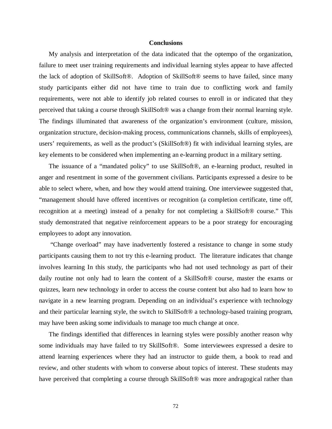### **Conclusions**

My analysis and interpretation of the data indicated that the optempo of the organization, failure to meet user training requirements and individual learning styles appear to have affected the lack of adoption of SkillSoft®. Adoption of SkillSoft® seems to have failed, since many study participants either did not have time to train due to conflicting work and family requirements, were not able to identify job related courses to enroll in or indicated that they perceived that taking a course through SkillSoft® was a change from their normal learning style. The findings illuminated that awareness of the organization's environment (culture, mission, organization structure, decision-making process, communications channels, skills of employees), users' requirements, as well as the product's (SkillSoft®) fit with individual learning styles, are key elements to be considered when implementing an e-learning product in a military setting.

 The issuance of a "mandated policy" to use SkillSoft®, an e-learning product, resulted in anger and resentment in some of the government civilians. Participants expressed a desire to be able to select where, when, and how they would attend training. One interviewee suggested that, "management should have offered incentives or recognition (a completion certificate, time off, recognition at a meeting) instead of a penalty for not completing a SkillSoft® course." This study demonstrated that negative reinforcement appears to be a poor strategy for encouraging employees to adopt any innovation.

 "Change overload" may have inadvertently fostered a resistance to change in some study participants causing them to not try this e-learning product. The literature indicates that change involves learning In this study, the participants who had not used technology as part of their daily routine not only had to learn the content of a SkillSoft® course, master the exams or quizzes, learn new technology in order to access the course content but also had to learn how to navigate in a new learning program. Depending on an individual's experience with technology and their particular learning style, the switch to SkillSoft® a technology-based training program, may have been asking some individuals to manage too much change at once.

The findings identified that differences in learning styles were possibly another reason why some individuals may have failed to try SkillSoft®. Some interviewees expressed a desire to attend learning experiences where they had an instructor to guide them, a book to read and review, and other students with whom to converse about topics of interest. These students may have perceived that completing a course through SkillSoft<sup>®</sup> was more andragogical rather than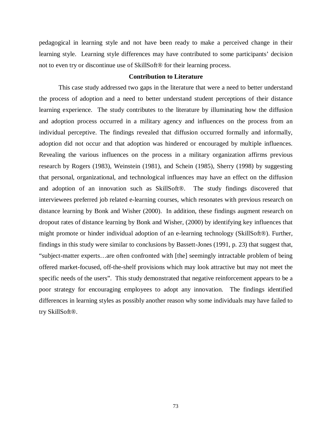pedagogical in learning style and not have been ready to make a perceived change in their learning style. Learning style differences may have contributed to some participants' decision not to even try or discontinue use of SkillSoft® for their learning process.

### **Contribution to Literature**

 This case study addressed two gaps in the literature that were a need to better understand the process of adoption and a need to better understand student perceptions of their distance learning experience. The study contributes to the literature by illuminating how the diffusion and adoption process occurred in a military agency and influences on the process from an individual perceptive. The findings revealed that diffusion occurred formally and informally, adoption did not occur and that adoption was hindered or encouraged by multiple influences. Revealing the various influences on the process in a military organization affirms previous research by Rogers (1983), Weinstein (1981), and Schein (1985), Sherry (1998) by suggesting that personal, organizational, and technological influences may have an effect on the diffusion and adoption of an innovation such as SkillSoft®. The study findings discovered that interviewees preferred job related e-learning courses, which resonates with previous research on distance learning by Bonk and Wisher (2000). In addition, these findings augment research on dropout rates of distance learning by Bonk and Wisher, (2000) by identifying key influences that might promote or hinder individual adoption of an e-learning technology (SkillSoft®). Further, findings in this study were similar to conclusions by Bassett-Jones (1991, p. 23) that suggest that, "subject-matter experts…are often confronted with [the] seemingly intractable problem of being offered market-focused, off-the-shelf provisions which may look attractive but may not meet the specific needs of the users". This study demonstrated that negative reinforcement appears to be a poor strategy for encouraging employees to adopt any innovation. The findings identified differences in learning styles as possibly another reason why some individuals may have failed to try SkillSoft®.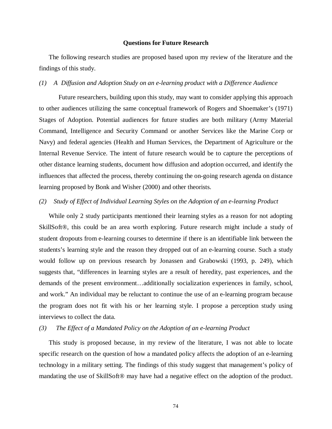### **Questions for Future Research**

The following research studies are proposed based upon my review of the literature and the findings of this study.

### *(1) A Diffusion and Adoption Study on an e-learning product with a Difference Audience*

Future researchers, building upon this study, may want to consider applying this approach to other audiences utilizing the same conceptual framework of Rogers and Shoemaker's (1971) Stages of Adoption. Potential audiences for future studies are both military (Army Material Command, Intelligence and Security Command or another Services like the Marine Corp or Navy) and federal agencies (Health and Human Services, the Department of Agriculture or the Internal Revenue Service. The intent of future research would be to capture the perceptions of other distance learning students, document how diffusion and adoption occurred, and identify the influences that affected the process, thereby continuing the on-going research agenda on distance learning proposed by Bonk and Wisher (2000) and other theorists.

### *(2) Study of Effect of Individual Learning Styles on the Adoption of an e-learning Product*

While only 2 study participants mentioned their learning styles as a reason for not adopting SkillSoft®, this could be an area worth exploring. Future research might include a study of student dropouts from e-learning courses to determine if there is an identifiable link between the students's learning style and the reason they dropped out of an e-learning course. Such a study would follow up on previous research by Jonassen and Grabowski (1993, p. 249), which suggests that, "differences in learning styles are a result of heredity, past experiences, and the demands of the present environment…additionally socialization experiences in family, school, and work." An individual may be reluctant to continue the use of an e-learning program because the program does not fit with his or her learning style. I propose a perception study using interviews to collect the data.

### *(3) The Effect of a Mandated Policy on the Adoption of an e-learning Product*

This study is proposed because, in my review of the literature, I was not able to locate specific research on the question of how a mandated policy affects the adoption of an e-learning technology in a military setting. The findings of this study suggest that management's policy of mandating the use of SkillSoft® may have had a negative effect on the adoption of the product.